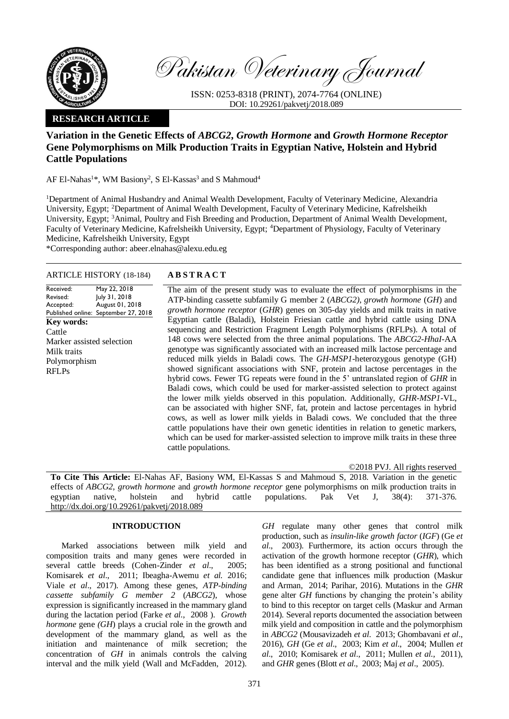

Pakistan Veterinary Journal

ISSN: 0253-8318 (PRINT), 2074-7764 (ONLINE) DOI: 10.29261/pakvetj/2018.089

# **RESEARCH ARTICLE**

# **Variation in the Genetic Effects of** *ABCG2***,** *Growth Hormone* **and** *Growth Hormone Receptor* **Gene Polymorphisms on Milk Production Traits in Egyptian Native, Holstein and Hybrid Cattle Populations**

AF El-Nahas<sup>1\*</sup>, WM Basiony<sup>2</sup>, S El-Kassas<sup>3</sup> and S Mahmoud<sup>4</sup>

<sup>1</sup>Department of Animal Husbandry and Animal Wealth Development, Faculty of Veterinary Medicine, Alexandria University, Egypt; <sup>2</sup>Department of Animal Wealth Development, Faculty of Veterinary Medicine, Kafrelsheikh University, Egypt; <sup>3</sup>Animal, Poultry and Fish Breeding and Production, Department of Animal Wealth Development, Faculty of Veterinary Medicine, Kafrelsheikh University, Egypt; <sup>4</sup>Department of Physiology, Faculty of Veterinary Medicine, Kafrelsheikh University, Egypt

\*Corresponding author: abeer.elnahas@alexu.edu.eg

## ARTICLE HISTORY (18-184) **A B S T R A C T**

Received: Revised: Accepted: Published online: September 27, 2018 May 22, 2018 July 31, 2018 August 01, 2018 **Key words:**  Cattle Marker assisted selection Milk traits Polymorphism RFLPs

The aim of the present study was to evaluate the effect of polymorphisms in the ATP-binding cassette subfamily G member 2 (*ABCG2)*, *growth hormone* (*GH*) and *growth hormone receptor* (*GHR*) genes on 305-day yields and milk traits in native Egyptian cattle (Baladi), Holstein Friesian cattle and hybrid cattle using DNA sequencing and Restriction Fragment Length Polymorphisms (RFLPs). A total of 148 cows were selected from the three animal populations. The *ABCG2-HhaI*-AA genotype was significantly associated with an increased milk lactose percentage and reduced milk yields in Baladi cows. The *GH-MSP1*-heterozygous genotype (GH) showed significant associations with SNF, protein and lactose percentages in the hybrid cows. Fewer TG repeats were found in the 5' untranslated region of *GHR* in Baladi cows, which could be used for marker-assisted selection to protect against the lower milk yields observed in this population. Additionally, *GHR-MSP1*-VL, can be associated with higher SNF, fat, protein and lactose percentages in hybrid cows, as well as lower milk yields in Baladi cows. We concluded that the three cattle populations have their own genetic identities in relation to genetic markers, which can be used for marker-assisted selection to improve milk traits in these three cattle populations.

©2018 PVJ. All rights reserved **To Cite This Article:** El-Nahas AF, Basiony WM, El-Kassas S and Mahmoud S, 2018. Variation in the genetic effects of *ABCG2*, *growth hormone* and *growth hormone receptor* gene polymorphisms on milk production traits in egyptian native, holstein and hybrid cattle populations. Pak Vet J, 38(4): 371-376. [http://dx.doi.org/10.29261/pakvetj/2018.089](http://pvj.com.pk/pdf-files/38_4/371-376.pdf) 

## **INTRODUCTION**

Marked associations between milk yield and composition traits and many genes were recorded in several cattle breeds (Cohen-Zinder *et al*., 2005; Komisarek *et al*., 2011; Ibeagha-Awemu *et al.* 2016; Viale *et al*., 2017). Among these genes, *ATP-binding cassette subfamily G member 2* (*ABCG2*), whose expression is significantly increased in the mammary gland during the lactation period (Farke *et al*., 2008 ). *Growth hormone* gene *(GH*) plays a crucial role in the growth and development of the mammary gland, as well as the initiation and maintenance of milk secretion; the concentration of *GH* in animals controls the calving interval and the milk yield (Wall and McFadden, 2012).

GH regulate many other genes that control milk production, such as *insulin-like growth factor* (*IGF*) (Ge *et al*., 2003). Furthermore, its action occurs through the activation of the growth hormone receptor (*GHR*), which has been identified as a strong positional and functional candidate gene that influences milk production (Maskur and Arman, 2014; Parihar, 2016). Mutations in the *GHR* gene alter *GH* functions by changing the protein's ability to bind to this receptor on target cells (Maskur and Arman 2014). Several reports documented the association between milk yield and composition in cattle and the polymorphism in *ABCG2* (Mousavizadeh *et al*. 2013; Ghombavani *et al*., 2016), *GH* (Ge *et al*., 2003; Kim *et al*., 2004; Mullen *et al*., 2010; Komisarek *et al*., 2011; Mullen *et al*., 2011), and *GHR* genes (Blott *et al*., 2003; Maj *et al*., 2005).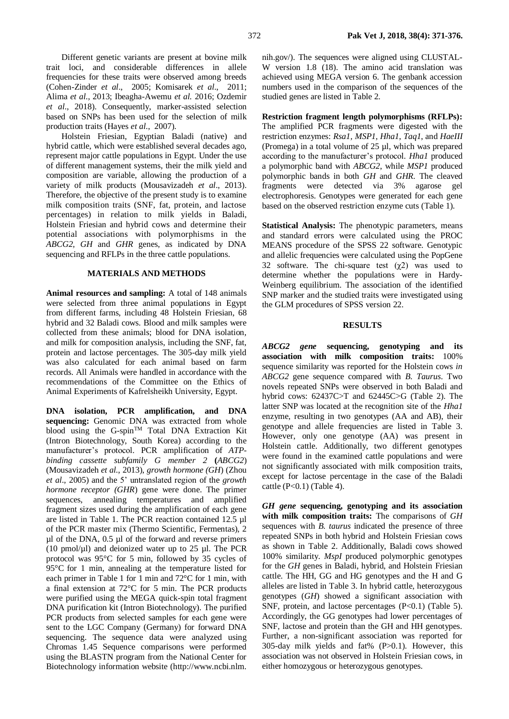Different genetic variants are present at bovine milk trait loci, and considerable differences in allele frequencies for these traits were observed among breeds (Cohen-Zinder *et al*., 2005; Komisarek *et al*., 2011; Alima *et al*., 2013; Ibeagha-Awemu *et al.* 2016; Ozdemir *et al*., 2018). Consequently, marker-assisted selection based on SNPs has been used for the selection of milk production traits (Hayes *et al*., 2007).

Holstein Friesian, Egyptian Baladi (native) and hybrid cattle, which were established several decades ago, represent major cattle populations in Egypt. Under the use of different management systems, their the milk yield and composition are variable, allowing the production of a variety of milk products (Mousavizadeh *et al*., 2013). Therefore, the objective of the present study is to examine milk composition traits (SNF, fat, protein, and lactose percentages) in relation to milk yields in Baladi, Holstein Friesian and hybrid cows and determine their potential associations with polymorphisms in the *ABCG2, GH* and *GHR* genes, as indicated by DNA sequencing and RFLPs in the three cattle populations.

#### **MATERIALS AND METHODS**

**Animal resources and sampling:** A total of 148 animals were selected from three animal populations in Egypt from different farms, including 48 Holstein Friesian, 68 hybrid and 32 Baladi cows. Blood and milk samples were collected from these animals; blood for DNA isolation, and milk for composition analysis, including the SNF, fat, protein and lactose percentages. The 305-day milk yield was also calculated for each animal based on farm records. All Animals were handled in accordance with the recommendations of the Committee on the Ethics of Animal Experiments of Kafrelsheikh University, Egypt.

**DNA isolation, PCR amplification, and DNA sequencing:** Genomic DNA was extracted from whole blood using the G-spin<sup>TM</sup> Total DNA Extraction Kit (Intron Biotechnology, South Korea) according to the manufacturer's protocol. PCR amplification of *ATPbinding cassette subfamily G member 2* **(***ABCG2*) (Mousavizadeh *et al.*, 2013), *growth hormone (GH*) (Zhou *et al*., 2005) and the 5' untranslated region of the *growth hormone receptor (GHR*) gene were done. The primer sequences, annealing temperatures and amplified fragment sizes used during the amplification of each gene are listed in Table 1. The PCR reaction contained 12.5 µl of the PCR master mix (Thermo Scientific, Fermentas), 2 µl of the DNA, 0.5 µl of the forward and reverse primers (10 pmol/ $\mu$ l) and deionized water up to 25  $\mu$ l. The PCR protocol was 95°C for 5 min, followed by 35 cycles of 95°C for 1 min, annealing at the temperature listed for each primer in Table 1 for 1 min and 72°C for 1 min, with a final extension at 72°C for 5 min. The PCR products were purified using the MEGA quick-spin total fragment DNA purification kit (Intron Biotechnology). The purified PCR products from selected samples for each gene were sent to the LGC Company (Germany) for forward DNA sequencing. The sequence data were analyzed using Chromas 1.45 Sequence comparisons were performed using the BLASTN program from the National Center for Biotechnology information website (http://www.ncbi.nlm.

nih.gov/). The sequences were aligned using CLUSTAL-W version 1.8 (18). The amino acid translation was achieved using MEGA version 6. The genbank accession numbers used in the comparison of the sequences of the studied genes are listed in Table 2.

**Restriction fragment length polymorphisms (RFLPs):** The amplified PCR fragments were digested with the restriction enzymes: *Rsa1, MSP1, Hha1*, *Taq1*, and *HaeIII*  (Promega) in a total volume of 25 µl, which was prepared according to the manufacturer's protocol*. Hha1* produced a polymorphic band with *ABCG2*, while *MSP1* produced polymorphic bands in both *GH* and *GHR.* The cleaved fragments were detected via 3% agarose gel electrophoresis. Genotypes were generated for each gene based on the observed restriction enzyme cuts (Table 1).

**Statistical Analysis:** The phenotypic parameters, means and standard errors were calculated using the PROC MEANS procedure of the SPSS 22 software. Genotypic and allelic frequencies were calculated using the PopGene 32 software. The chi-square test  $(\chi^2)$  was used to determine whether the populations were in Hardy-Weinberg equilibrium. The association of the identified SNP marker and the studied traits were investigated using the GLM procedures of SPSS version 22.

### **RESULTS**

*ABCG2 gene* **sequencing, genotyping and its association with milk composition traits:** 100% sequence similarity was reported for the Holstein cows *in ABCG2* gene sequence compared with *B. Taurus*. Two novels repeated SNPs were observed in both Baladi and hybrid cows: 62437C>T and 62445C>G (Table 2). The latter SNP was located at the recognition site of the *Hha1* enzyme, resulting in two genotypes (AA and AB), their genotype and allele frequencies are listed in Table 3. However, only one genotype (AA) was present in Holstein cattle. Additionally, two different genotypes were found in the examined cattle populations and were not significantly associated with milk composition traits, except for lactose percentage in the case of the Baladi cattle  $(P<0.1)$  (Table 4).

*GH gene* **sequencing, genotyping and its association with milk composition traits:** The comparisons of *GH* sequences with *B. taurus* indicated the presence of three repeated SNPs in both hybrid and Holstein Friesian cows as shown in Table 2. Additionally, Baladi cows showed 100% similarity. *MspI* produced polymorphic genotypes for the *GH* genes in Baladi, hybrid, and Holstein Friesian cattle. The HH, GG and HG genotypes and the H and G alleles are listed in Table 3. In hybrid cattle, heterozygous genotypes (*GH*) showed a significant association with SNF, protein, and lactose percentages  $(P<0.1)$  (Table 5). Accordingly, the GG genotypes had lower percentages of SNF, lactose and protein than the GH and HH genotypes. Further, a non-significant association was reported for 305-day milk yields and fat% (P>0.1). However, this association was not observed in Holstein Friesian cows, in either homozygous or heterozygous genotypes.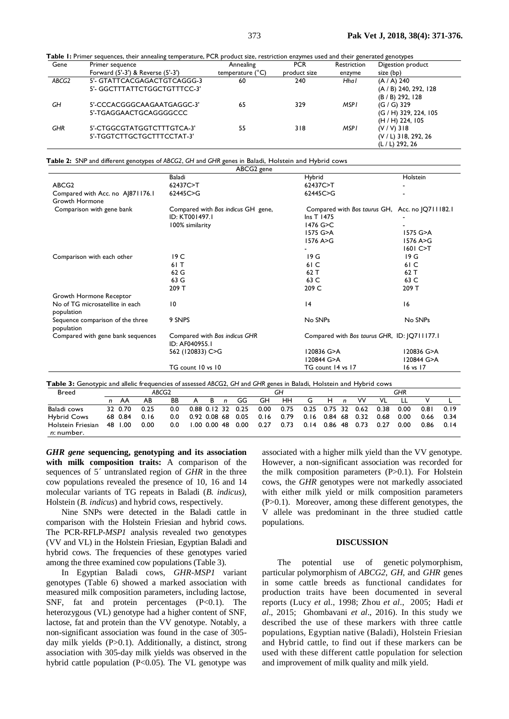**Table 1:** Primer sequences, their annealing temperature, PCR product size, restriction enzymes used and their generated genotypes

| Gene       | Primer sequence                   | Annealing                 | <b>PCR</b>   | Restriction | Digestion product     |
|------------|-----------------------------------|---------------------------|--------------|-------------|-----------------------|
|            | Forward (5'-3') & Reverse (5'-3') | temperature $(^{\circ}C)$ | product size | enzyme      | size (bp)             |
| ABCG2      | 5'- GTATTCACGAGACTGTCAGGG-3       | 60                        | 240          | Hhal        | (A / A) 240           |
|            | 5'- GGCTTTATTCTGGCTGTTTCC-3'      |                           |              |             | (A / B) 240, 292, 128 |
|            |                                   |                           |              |             | (B / B) 292, 128      |
| GН         | 5'-CCCACGGGCAAGAATGAGGC-3'        | 65                        | 329          | MSPI        | $(G / G)$ 329         |
|            | 5'-TGAGGAACTGCAGGGGCCC            |                           |              |             | (G / H) 329, 224, 105 |
|            |                                   |                           |              |             | (H / H) 224, 105      |
| <b>GHR</b> | 5'-CTGGCGTATGGTCTTTGTCA-3'        | 55                        | 318          | MSPI        | $(V/V)$ 318           |
|            | 5'-TGGTCTTGCTGCTTTCCTAT-3'        |                           |              |             | (V / L) 318, 292, 26  |
|            |                                   |                           |              |             | (L / L) 292, 26       |

**Table 2:** SNP and different genotypes of *ABCG2*, *GH* and *GHR* genes in Baladi, Holstein and Hybrid cows

|                                                | ABCG2 gene                                                                                                                                    |                                                 |                              |
|------------------------------------------------|-----------------------------------------------------------------------------------------------------------------------------------------------|-------------------------------------------------|------------------------------|
|                                                | Baladi                                                                                                                                        | Hybrid                                          | Holstein                     |
| ABCG <sub>2</sub>                              | 62437C>T                                                                                                                                      | 62437C>T                                        |                              |
| Compared with Acc. no AJ871176.1               | 62445C>G                                                                                                                                      | 62445C>G                                        |                              |
| <b>Growth Hormone</b>                          |                                                                                                                                               |                                                 |                              |
| Comparison with gene bank                      | Compared with Bos indicus GH gene,                                                                                                            | Compared with Bos taurus GH, Acc. no  Q711182.1 |                              |
|                                                | ID: KT001497.1                                                                                                                                | Ins T 1475                                      |                              |
|                                                | 100% similarity                                                                                                                               | 1476 G>C                                        |                              |
|                                                |                                                                                                                                               | 1575 G>A                                        | $1575$ G $>$ A               |
|                                                |                                                                                                                                               | 1576 A>G                                        | 1576 A>G                     |
|                                                |                                                                                                                                               |                                                 | 1601 C>T                     |
| Comparison with each other                     | 19 C                                                                                                                                          | 19G                                             | 19G                          |
|                                                | 61 T                                                                                                                                          | 61 C                                            | 61 C                         |
|                                                | 62 G                                                                                                                                          | 62 T                                            | 62 T                         |
|                                                | 63 G                                                                                                                                          | 63 C                                            | 63 C                         |
|                                                | 209 T                                                                                                                                         | 209 C                                           | 209 T                        |
| Growth Hormone Receptor                        |                                                                                                                                               |                                                 |                              |
| No of TG microsatellite in each<br>population  | 10                                                                                                                                            | 4                                               | 16                           |
| Sequence comparison of the three<br>population | 9 SNPS                                                                                                                                        | No SNPs                                         | No SNPs                      |
| Compared with gene bank sequences              | Compared with Bos indicus GHR<br>ID: AF040955.1                                                                                               | Compared with Bos taurus GHR, ID: [Q711177.1]   |                              |
|                                                | 562 (120833) C>G                                                                                                                              | 120836 G>A                                      | 120836 G>A                   |
|                                                |                                                                                                                                               | 120844 G>A                                      | 120844 G>A                   |
|                                                | TG count 10 vs 10                                                                                                                             | TG count 14 vs 17                               | 16 vs 17                     |
| <b>Breed</b>                                   | Table 3: Genotypic and allelic frequencies of assessed ABCG2, GH and GHR genes in Baladi, Holstein and Hybrid cows<br>ABCG <sub>2</sub><br>GH |                                                 | <b>GHR</b>                   |
| <b>AR</b><br>AA<br>n                           | <b>RR</b><br>GG.<br><b>GH</b><br>R.<br>A<br>n                                                                                                 | <b>HH</b><br>G<br><b>W</b><br>н<br>$\mathsf{n}$ | $\vee$<br>VI<br>$\mathbf{H}$ |

| preed                           |   |         |      | ADUSZ |              |                |              |                   |      | uп   |      |    |              |                   |      | חה   |      |      |
|---------------------------------|---|---------|------|-------|--------------|----------------|--------------|-------------------|------|------|------|----|--------------|-------------------|------|------|------|------|
|                                 | n | AA      | AB   | BB    | A            | B              | $\mathbf{n}$ | GG                | GH   | HН   | G    | H. | $\mathsf{n}$ | w                 | VL   |      |      |      |
| Baladi cows                     |   | 32 0.70 | 0.25 | 0.0   |              |                |              | 0.88 0.12 32 0.25 | 0.00 | 0.75 |      |    |              | 0.25 0.75 32 0.62 | 0.38 | 0.00 | 0.81 | 0.19 |
| <b>Hybrid Cows</b>              |   | 68 0.84 | 0.16 | 0.0   | 0.92 0.08 68 |                |              | 0.05              | 0.16 | 0.79 | 0.16 |    |              | 0.84 68 0.32      | 0.68 | 0.00 | 0.66 | 0.34 |
| Holstein Friesian<br>n: number. |   | 48 1.00 | 0.00 | 0.0   |              | $1.00$ 0.00 48 |              | 0.00              | 0.27 | 0.73 | 0.14 |    |              | 0.86 48 0.73      | 0.27 | 0.00 | 0.86 | 0.14 |

*GHR gene* **sequencing, genotyping and its association with milk composition traits:** A comparison of the sequences of 5´ untranslated region of *GHR* in the three cow populations revealed the presence of 10, 16 and 14 molecular variants of TG repeats in Baladi (*B. indicus)*, Holstein (*B. indicus*) and hybrid cows, respectively.

Nine SNPs were detected in the Baladi cattle in comparison with the Holstein Friesian and hybrid cows. The PCR-RFLP-*MSP1* analysis revealed two genotypes (VV and VL) in the Holstein Friesian, Egyptian Baladi and hybrid cows. The frequencies of these genotypes varied among the three examined cow populations (Table 3).

In Egyptian Baladi cows, *GHR-MSP1* variant genotypes (Table 6) showed a marked association with measured milk composition parameters, including lactose, SNF, fat and protein percentages  $(P<0.1)$ . The heterozygous (VL) genotype had a higher content of SNF, lactose, fat and protein than the VV genotype. Notably, a non-significant association was found in the case of 305 day milk yields (P>0.1). Additionally, a distinct, strong association with 305-day milk yields was observed in the hybrid cattle population (P<0.05). The VL genotype was

associated with a higher milk yield than the VV genotype. However, a non-significant association was recorded for the milk composition parameters (P>0.1). For Holstein cows, the *GHR* genotypes were not markedly associated with either milk yield or milk composition parameters (P>0.1). Moreover, among these different genotypes, the V allele was predominant in the three studied cattle populations.

## **DISCUSSION**

The potential use of genetic polymorphism, particular polymorphism of *ABCG2*, *GH*, and *GHR* genes in some cattle breeds as functional candidates for production traits have been documented in several reports (Lucy *et a*l., 1998; Zhou *et al*., 2005; [Hadi](https://www.ncbi.nlm.nih.gov/pubmed/?term=Hadi%20Z%5BAuthor%5D&cauthor=true&cauthor_uid=27175183) *et al*., 2015; Ghombavani *et al*., 2016). In this study we described the use of these markers with three cattle populations, Egyptian native (Baladi)*,* Holstein Friesian and Hybrid cattle, to find out if these markers can be used with these different cattle population for selection and improvement of milk quality and milk yield.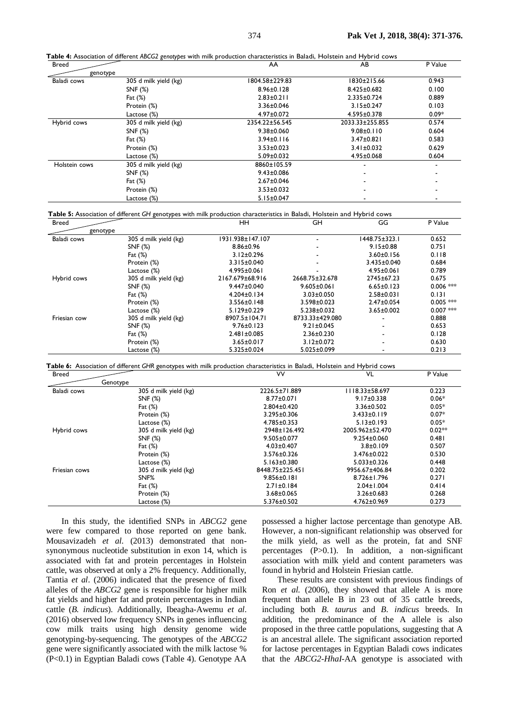**Table 4:** Association of different *ABCG2 genotypes* with milk production characteristics in Baladi, Holstein and Hybrid cows

| <b>Breed</b>  |                       | AA               | AB                       | P Value |
|---------------|-----------------------|------------------|--------------------------|---------|
| genotype      |                       |                  |                          |         |
| Baladi cows   | 305 d milk yield (kg) | 804.58±229.83    | 1830±215.66              | 0.943   |
|               | SNF (%)               | $8.96 \pm 0.128$ | 8.425±0.682              | 0.100   |
|               | Fat $(\%)$            | $2.83 \pm 0.211$ | $2.335 \pm 0.724$        | 0.889   |
|               | Protein (%)           | 3.36±0.046       | $3.15 \pm 0.247$         | 0.103   |
|               | Lactose (%)           | $4.97 \pm 0.072$ | $4.595 \pm 0.378$        | $0.09*$ |
| Hybrid cows   | 305 d milk yield (kg) | 2354.22±56.545   | 2033.33±255.855          | 0.574   |
|               | SNF (%)               | $9.38 \pm 0.060$ | $9.08 \pm 0.110$         | 0.604   |
|               | Fat $(\%)$            | $3.94 \pm 0.116$ | $3.47 \pm 0.821$         | 0.583   |
|               | Protein (%)           | $3.53 \pm 0.023$ | $3.41 \pm 0.032$         | 0.629   |
|               | Lactose (%)           | $5.09 \pm 0.032$ | $4.95 \pm 0.068$         | 0.604   |
| Holstein cows | 305 d milk yield (kg) | 8860±105.59      |                          |         |
|               | SNF (%)               | $9.43 \pm 0.086$ |                          | ۰       |
|               | Fat $(\%)$            | $2.67 \pm 0.046$ | $\overline{\phantom{a}}$ |         |
|               | Protein (%)           | $3.53 \pm 0.032$ | $\blacksquare$           |         |
|               | Lactose (%)           | $5.15 \pm 0.047$ |                          |         |

**Table 5:** Association of different *GH* genotypes with milk production characteristics in Baladi, Holstein and Hybrid cows

| <b>Breed</b> |                       | HН                | GH                | GG               | P Value     |
|--------------|-----------------------|-------------------|-------------------|------------------|-------------|
| genotype     |                       |                   |                   |                  |             |
| Baladi cows  | 305 d milk yield (kg) | 1931.938±147.107  |                   | 1448.75±323.1    | 0.652       |
|              | SNF (%)               | $8.86 \pm 0.96$   |                   | $9.15 \pm 0.88$  | 0.751       |
|              | Fat $(\%)$            | $3.12 \pm 0.296$  |                   | $3.60 \pm 0.156$ | 0.118       |
|              | Protein (%)           | 3.315±0.040       |                   | 3.435±0.040      | 0.684       |
|              | Lactose (%)           | 4.995±0.061       |                   | 4.95±0.061       | 0.789       |
| Hybrid cows  | 305 d milk yield (kg) | 2167.679±68.916   | 2668.75±32.678    | 2745±67.23       | 0.675       |
|              | SNF (%)               | 9.447±0.040       | $9.605 \pm 0.061$ | $6.65 \pm 0.123$ | $0.006$ *** |
|              | Fat $(\%)$            | $4.204 \pm 0.134$ | $3.03 \pm 0.050$  | $2.58 \pm 0.031$ | 0.131       |
|              | Protein (%)           | $3.556 \pm 0.148$ | 3.598±0.023       | $2.47 \pm 0.054$ | $0.005$ *** |
|              | Lactose (%)           | $5.129 \pm 0.229$ | $5.238 \pm 0.032$ | $3.65 \pm 0.002$ | $0.007$ *** |
| Friesian cow | 305 d milk yield (kg) | 8907.5±104.71     | 8733.33±429.080   |                  | 0.888       |
|              | SNF (%)               | $9.76 \pm 0.123$  | $9.21 \pm 0.045$  |                  | 0.653       |
|              | Fat $(\%)$            | $2.481 \pm 0.085$ | $2.36 \pm 0.230$  |                  | 0.128       |
|              | Protein (%)           | $3.65 \pm 0.017$  | $3.12 \pm 0.072$  |                  | 0.630       |
|              | Lactose (%)           | 5.325±0.024       | $5.025 \pm 0.099$ |                  | 0.213       |

**Table 6:** Association of different *GHR* genotypes with milk production characteristics in Baladi, Holstein and Hybrid cows

|                       |                   |                   | P Value  |
|-----------------------|-------------------|-------------------|----------|
| Genotype              |                   |                   |          |
| 305 d milk yield (kg) | 2226.5±71.889     | 118.33±58.697     | 0.223    |
| SNF(%)                | $8.77 \pm 0.071$  | $9.17 \pm 0.338$  | $0.06*$  |
| Fat $(\%)$            | $2.804 \pm 0.420$ | $3.36 \pm 0.502$  | $0.05*$  |
| Protein (%)           | 3.295±0.306       | $3.433 \pm 0.119$ | $0.07*$  |
| Lactose (%)           | $4.785 \pm 0.353$ | $5.13 \pm 0.193$  | $0.05*$  |
| 305 d milk yield (kg) | 2948±126.492      | 2005.962±52.470   | $0.02**$ |
| SNF(%)                | $9.505 \pm 0.077$ | $9.254 \pm 0.060$ | 0.481    |
| Fat $(\%)$            | $4.03 \pm 0.407$  | $3.8 \pm 0.109$   | 0.507    |
| Protein (%)           | 3.576±0.326       | 3.476±0.022       | 0.530    |
| Lactose (%)           | $5.163 \pm 0.380$ | $5.033 \pm 0.326$ | 0.448    |
| 305 d milk yield (kg) | 8448.75±225.451   | 9956.67±406.84    | 0.202    |
| SNF%                  | $9.856 \pm 0.181$ | $8.726 \pm 1.796$ | 0.271    |
| Fat $(\%)$            | $2.71 \pm 0.184$  | $2.04 \pm 1.004$  | 0.414    |
| Protein (%)           | $3.68 \pm 0.065$  | $3.26 \pm 0.683$  | 0.268    |
| Lactose (%)           | 5.376±0.502       | $4.762 \pm 0.969$ | 0.273    |
|                       |                   | vv                | VL       |

In this study, the identified SNPs in *ABCG2* gene were few compared to those reported on gene bank. Mousavizadeh *et al*. (2013) demonstrated that nonsynonymous nucleotide substitution in exon 14, which is associated with fat and protein percentages in Holstein cattle, was observed at only a 2% frequency. Additionally, [Tantia](https://www.ncbi.nlm.nih.gov/pubmed/?term=Tantia%20MS%5BAuthor%5D&cauthor=true&cauthor_uid=17087837) *et al*. (2006) indicated that the presence of fixed alleles of the *ABCG2* gene is responsible for higher milk fat yields and higher fat and protein percentages in Indian cattle (*B. indicus*). Additionally, Ibeagha-Awemu *et al*. (2016) observed low frequency SNPs in genes influencing cow milk traits using high density genome wide genotyping-by-sequencing. The genotypes of the *ABCG2* gene were significantly associated with the milk lactose % (P<0.1) in Egyptian Baladi cows (Table 4). Genotype AA

possessed a higher lactose percentage than genotype AB. However, a non-significant relationship was observed for the milk yield, as well as the protein, fat and SNF percentages (P>0.1). In addition, a non-significant association with milk yield and content parameters was found in hybrid and Holstein Friesian cattle.

These results are consistent with previous findings of Ron *et al.* (2006), they showed that allele A is more frequent than allele B in 23 out of 35 cattle breeds, including both *B. taurus* and *B. indicus* breeds. In addition, the predominance of the A allele is also proposed in the three cattle populations, suggesting that A is an ancestral allele. The significant association reported for lactose percentages in Egyptian Baladi cows indicates that the *ABCG2-HhaI*-AA genotype is associated with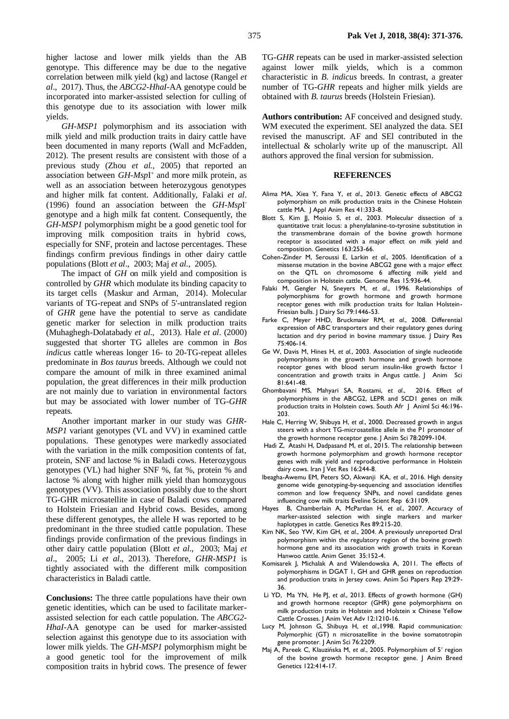higher lactose and lower milk yields than the AB genotype. This difference may be due to the negative correlation between milk yield (kg) and lactose (Rangel *et al*., 2017). Thus, the *ABCG2-HhaI*-AA genotype could be incorporated into marker-assisted selection for culling of this genotype due to its association with lower milk yields.

*GH-MSP1* polymorphism and its association with milk yield and milk production traits in dairy cattle have been documented in many reports (Wall and McFadden, 2012). The present results are consistent with those of a previous study (Zhou *et al.,* 2005) that reported an association between *GH-MspI*<sup>+</sup> and more milk protein, as well as an association between heterozygous genotypes and higher milk fat content. Additionally, Falaki *et al*. (1996) found an association between the *GH-Msp*I genotype and a high milk fat content. Consequently, the *GH-MSP1* polymorphism might be a good genetic tool for improving milk composition traits in hybrid cows, especially for SNF, protein and lactose percentages. These findings confirm previous findings in other dairy cattle populations (Blott *et al*., 2003; Maj *et al*., 2005).

The impact of *GH* on milk yield and composition is controlled by *GHR* which modulate its binding capacity to its target cells (Maskur and Arman, 2014). Molecular variants of TG-repeat and SNPs of 5'-untranslated region of *GHR* gene have the potential to serve as candidate genetic marker for selection in milk production traits (Muhaghegh-Dolatabady *et al*., 2013). Hale *et al*. (2000) suggested that shorter TG alleles are common in *Bos indicus* cattle whereas longer 16- to 20-TG-repeat alleles predominate in *Bos taurus* breeds. Although we could not compare the amount of milk in three examined animal population, the great differences in their milk production are not mainly due to variation in environmental factors but may be associated with lower number of TG-*GHR* repeats.

Another important marker in our study was *GHR-MSP1* variant genotypes (VL and VV) in examined cattle populations. These genotypes were markedly associated with the variation in the milk composition contents of fat, protein, SNF and lactose % in Baladi cows. Heterozygous genotypes (VL) had higher SNF %, fat %, protein % and lactose % along with higher milk yield than homozygous genotypes (VV). This association possibly due to the short TG-GHR microsatellite in case of Baladi cows compared to Holstein Friesian and Hybrid cows. Besides, among these different genotypes, the allele H was reported to be predominant in the three studied cattle population. These findings provide confirmation of the previous findings in other dairy cattle population (Blott *et al*., 2003; Maj *et al*., 2005; Li *et al*., 2013). Therefore, *GHR-MSP1* is tightly associated with the different milk composition characteristics in Baladi cattle.

**Conclusions:** The three cattle populations have their own genetic identities, which can be used to facilitate markerassisted selection for each cattle population. The *ABCG2- HhaI*-AA genotype can be used for marker-assisted selection against this genotype due to its association with lower milk yields. The *GH-MSP1* polymorphism might be a good genetic tool for the improvement of milk composition traits in hybrid cows. The presence of fewer TG-*GHR* repeats can be used in marker-assisted selection against lower milk yields, which is a common characteristic in *B. indicus* breeds. In contrast, a greater number of TG-*GHR* repeats and higher milk yields are obtained with *B. taurus* breeds (Holstein Friesian).

**Authors contribution:** AF conceived and designed study. WM executed the experiment. SEl analyzed the data. SEI revised the manuscript. AF and SEl contributed in the intellectual & scholarly write up of the manuscript. All authors approved the final version for submission.

### **REFERENCES**

- Alima MA, Xiea Y, Fana Y, *et al*., 2013. Genetic effects of ABCG2 polymorphism on milk production traits in the Chinese Holstein cattle MA. J Appl Anim Res 41:333-8.
- Blott S, Kim JJ, Moisio S, *et al*., 2003. Molecular dissection of a quantitative trait locus: a phenylalanine-to-tyrosine substitution in the transmembrane domain of the bovine growth hormone receptor is associated with a major effect on milk yield and composition. Genetics 163:253-66.
- Cohen-Zinder M, Seroussi E, Larkin *et al*., 2005. Identification of a missense mutation in the bovine ABCG2 gene with a major effect on the QTL on chromosome 6 affecting milk yield and composition in Holstein cattle. Genome Res 15:936-44.
- Falaki M, Gengler N, Sneyers M, *et al*., 1996. Relationships of polymorphisms for growth hormone and growth hormone receptor genes with milk production traits for Italian Holstein-Friesian bulls. J Dairy Sci 79:1446-53.
- Farke C, Meyer HHD, Bruckmaier RM, *et al*., 2008. Differential expression of ABC transporters and their regulatory genes during lactation and dry period in bovine mammary tissue. J Dairy Res 75:406-14.
- Ge W, Davis M, Hines H, *et al*., 2003. Association of single nucleotide polymorphisms in the growth hormone and growth hormone receptor genes with blood serum insulin-like growth factor I concentration and growth traits in Angus cattle. J Anim Sci 81:641-48.
- Ghombavani MS, Mahyari SA, Rostami, *et al*., 2016. Effect of polymorphisms in the ABCG2, LEPR and SCD1 genes on milk production traits in Holstein cows. South Afr J Animl Sci 46:196- 203.
- Hale C, Herring W, Shibuya H, *et al*., 2000. Decreased growth in angus steers with a short TG-microsatellite allele in the P1 promoter of the growth hormone receptor gene. J Anim Sci 78:2099-104.
- [Hadi](https://www.ncbi.nlm.nih.gov/pubmed/?term=Hadi%20Z%5BAuthor%5D&cauthor=true&cauthor_uid=27175183) Z, [Atashi](https://www.ncbi.nlm.nih.gov/pubmed/?term=Atashi%20H%5BAuthor%5D&cauthor=true&cauthor_uid=27175183) H[, Dadpasand](https://www.ncbi.nlm.nih.gov/pubmed/?term=Dadpasand%20M%5BAuthor%5D&cauthor=true&cauthor_uid=27175183) M, *et al*., 2015. The relationship between growth hormone polymorphism and growth hormone receptor genes with milk yield and reproductive performance in Holstein dairy cows[. Iran J Vet Res](https://www.ncbi.nlm.nih.gov/pmc/articles/PMC4782692/) 16:244-8.
- Ibeagha-Awemu EM, Peters SO, Akwanji KA, *et al*., 2016. High density genome wide genotyping-by-sequencing and association identifies common and low frequency SNPs, and novel candidate genes influencing cow milk traits Eveline Scient Rep 6:31109.
- Hayes B, Chamberlain A, McPartlan H, *et al*., 2007. Accuracy of marker-assisted selection with single markers and marker haplotypes in cattle. Genetics Res 89:215-20.
- Kim NK, Seo YW, Kim GH, *et al*., 2004. A previously unreported DraI polymorphism within the regulatory region of the bovine growth hormone gene and its association with growth traits in Korean Hanwoo cattle. Anim Genet 35:152-4.
- Komisarek J, Michalak A and Walendowska A, 2011. The effects of polymorphisms in DGAT 1, GH and GHR genes on reproduction and production traits in Jersey cows. Anim Sci Papers Rep 29:29- 36.
- [Li](http://ascidatabase.com/author.php?author=Yao-Dong&last=Li) YD, [Ma](http://ascidatabase.com/author.php?author=Yan-Nan&last=Ma) YN, [He](http://ascidatabase.com/author.php?author=Peng-Jia&last=He) PJ, *et al*., 2013. Effects of growth hormone (GH) and growth hormone receptor (GHR) gene polymorphisms on milk production traits in Holstein and Holstein x Chinese Yellow Cattle Crosses. J Anim Vet Adv 12:1210-16.
- Lucy M, Johnson G, Shibuya H, *et al*.,1998. Rapid communication: Polymorphic (GT) n microsatellite in the bovine somatotropin gene promoter. J Anim Sci 76:2209.
- Maj A, Pareek C, Klauzińska M, *et al*., 2005. Polymorphism of 5′ region of the bovine growth hormone receptor gene. J Anim Breed Genetics 122:414-17.